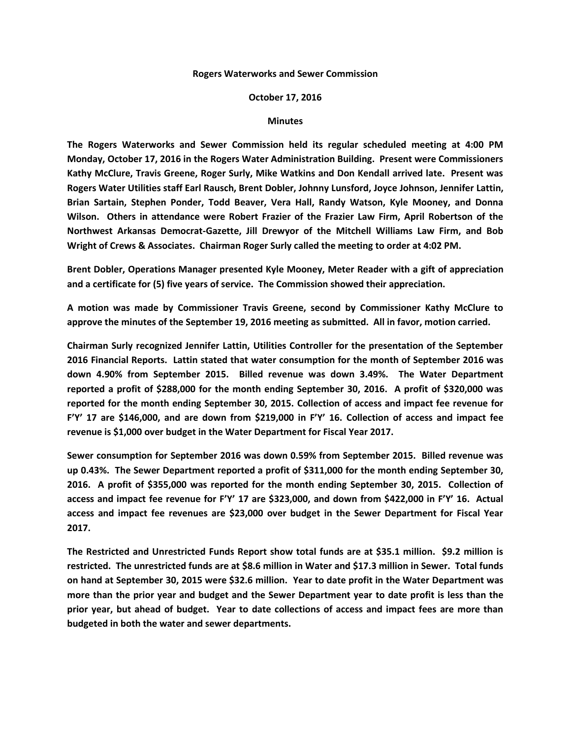## **Rogers Waterworks and Sewer Commission**

## **October 17, 2016**

## **Minutes**

**The Rogers Waterworks and Sewer Commission held its regular scheduled meeting at 4:00 PM Monday, October 17, 2016 in the Rogers Water Administration Building. Present were Commissioners Kathy McClure, Travis Greene, Roger Surly, Mike Watkins and Don Kendall arrived late. Present was Rogers Water Utilities staff Earl Rausch, Brent Dobler, Johnny Lunsford, Joyce Johnson, Jennifer Lattin, Brian Sartain, Stephen Ponder, Todd Beaver, Vera Hall, Randy Watson, Kyle Mooney, and Donna Wilson. Others in attendance were Robert Frazier of the Frazier Law Firm, April Robertson of the Northwest Arkansas Democrat-Gazette, Jill Drewyor of the Mitchell Williams Law Firm, and Bob Wright of Crews & Associates. Chairman Roger Surly called the meeting to order at 4:02 PM.**

**Brent Dobler, Operations Manager presented Kyle Mooney, Meter Reader with a gift of appreciation and a certificate for (5) five years of service. The Commission showed their appreciation.**

**A motion was made by Commissioner Travis Greene, second by Commissioner Kathy McClure to approve the minutes of the September 19, 2016 meeting as submitted. All in favor, motion carried.**

**Chairman Surly recognized Jennifer Lattin, Utilities Controller for the presentation of the September 2016 Financial Reports. Lattin stated that water consumption for the month of September 2016 was down 4.90% from September 2015. Billed revenue was down 3.49%. The Water Department reported a profit of \$288,000 for the month ending September 30, 2016. A profit of \$320,000 was reported for the month ending September 30, 2015. Collection of access and impact fee revenue for F'Y' 17 are \$146,000, and are down from \$219,000 in F'Y' 16. Collection of access and impact fee revenue is \$1,000 over budget in the Water Department for Fiscal Year 2017.**

**Sewer consumption for September 2016 was down 0.59% from September 2015. Billed revenue was up 0.43%. The Sewer Department reported a profit of \$311,000 for the month ending September 30, 2016. A profit of \$355,000 was reported for the month ending September 30, 2015. Collection of access and impact fee revenue for F'Y' 17 are \$323,000, and down from \$422,000 in F'Y' 16. Actual access and impact fee revenues are \$23,000 over budget in the Sewer Department for Fiscal Year 2017.**

**The Restricted and Unrestricted Funds Report show total funds are at \$35.1 million. \$9.2 million is restricted. The unrestricted funds are at \$8.6 million in Water and \$17.3 million in Sewer. Total funds on hand at September 30, 2015 were \$32.6 million. Year to date profit in the Water Department was more than the prior year and budget and the Sewer Department year to date profit is less than the prior year, but ahead of budget. Year to date collections of access and impact fees are more than budgeted in both the water and sewer departments.**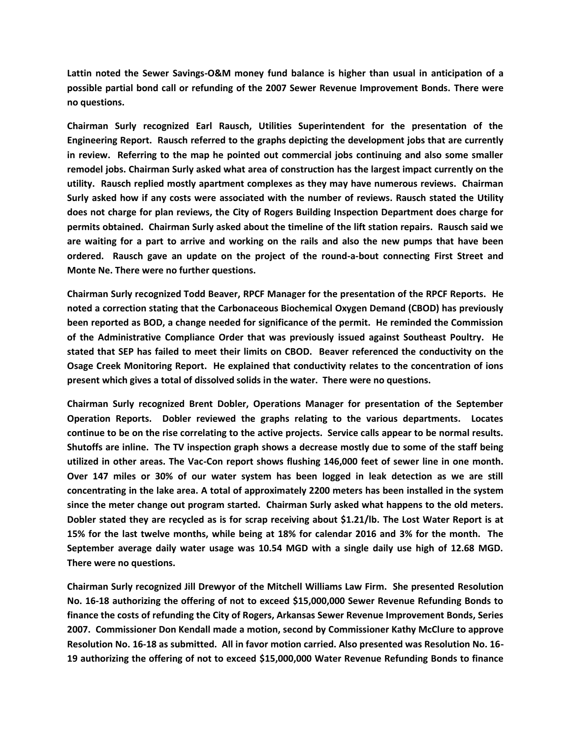**Lattin noted the Sewer Savings-O&M money fund balance is higher than usual in anticipation of a possible partial bond call or refunding of the 2007 Sewer Revenue Improvement Bonds. There were no questions.**

**Chairman Surly recognized Earl Rausch, Utilities Superintendent for the presentation of the Engineering Report. Rausch referred to the graphs depicting the development jobs that are currently in review. Referring to the map he pointed out commercial jobs continuing and also some smaller remodel jobs. Chairman Surly asked what area of construction has the largest impact currently on the utility. Rausch replied mostly apartment complexes as they may have numerous reviews. Chairman Surly asked how if any costs were associated with the number of reviews. Rausch stated the Utility does not charge for plan reviews, the City of Rogers Building Inspection Department does charge for permits obtained. Chairman Surly asked about the timeline of the lift station repairs. Rausch said we are waiting for a part to arrive and working on the rails and also the new pumps that have been ordered. Rausch gave an update on the project of the round-a-bout connecting First Street and Monte Ne. There were no further questions.**

**Chairman Surly recognized Todd Beaver, RPCF Manager for the presentation of the RPCF Reports. He noted a correction stating that the Carbonaceous Biochemical Oxygen Demand (CBOD) has previously been reported as BOD, a change needed for significance of the permit. He reminded the Commission of the Administrative Compliance Order that was previously issued against Southeast Poultry. He stated that SEP has failed to meet their limits on CBOD. Beaver referenced the conductivity on the Osage Creek Monitoring Report. He explained that conductivity relates to the concentration of ions present which gives a total of dissolved solids in the water. There were no questions.**

**Chairman Surly recognized Brent Dobler, Operations Manager for presentation of the September Operation Reports. Dobler reviewed the graphs relating to the various departments. Locates continue to be on the rise correlating to the active projects. Service calls appear to be normal results. Shutoffs are inline. The TV inspection graph shows a decrease mostly due to some of the staff being utilized in other areas. The Vac-Con report shows flushing 146,000 feet of sewer line in one month. Over 147 miles or 30% of our water system has been logged in leak detection as we are still concentrating in the lake area. A total of approximately 2200 meters has been installed in the system since the meter change out program started. Chairman Surly asked what happens to the old meters. Dobler stated they are recycled as is for scrap receiving about \$1.21/lb. The Lost Water Report is at 15% for the last twelve months, while being at 18% for calendar 2016 and 3% for the month. The September average daily water usage was 10.54 MGD with a single daily use high of 12.68 MGD. There were no questions.**

**Chairman Surly recognized Jill Drewyor of the Mitchell Williams Law Firm. She presented Resolution No. 16-18 authorizing the offering of not to exceed \$15,000,000 Sewer Revenue Refunding Bonds to finance the costs of refunding the City of Rogers, Arkansas Sewer Revenue Improvement Bonds, Series 2007. Commissioner Don Kendall made a motion, second by Commissioner Kathy McClure to approve Resolution No. 16-18 as submitted. All in favor motion carried. Also presented was Resolution No. 16- 19 authorizing the offering of not to exceed \$15,000,000 Water Revenue Refunding Bonds to finance**